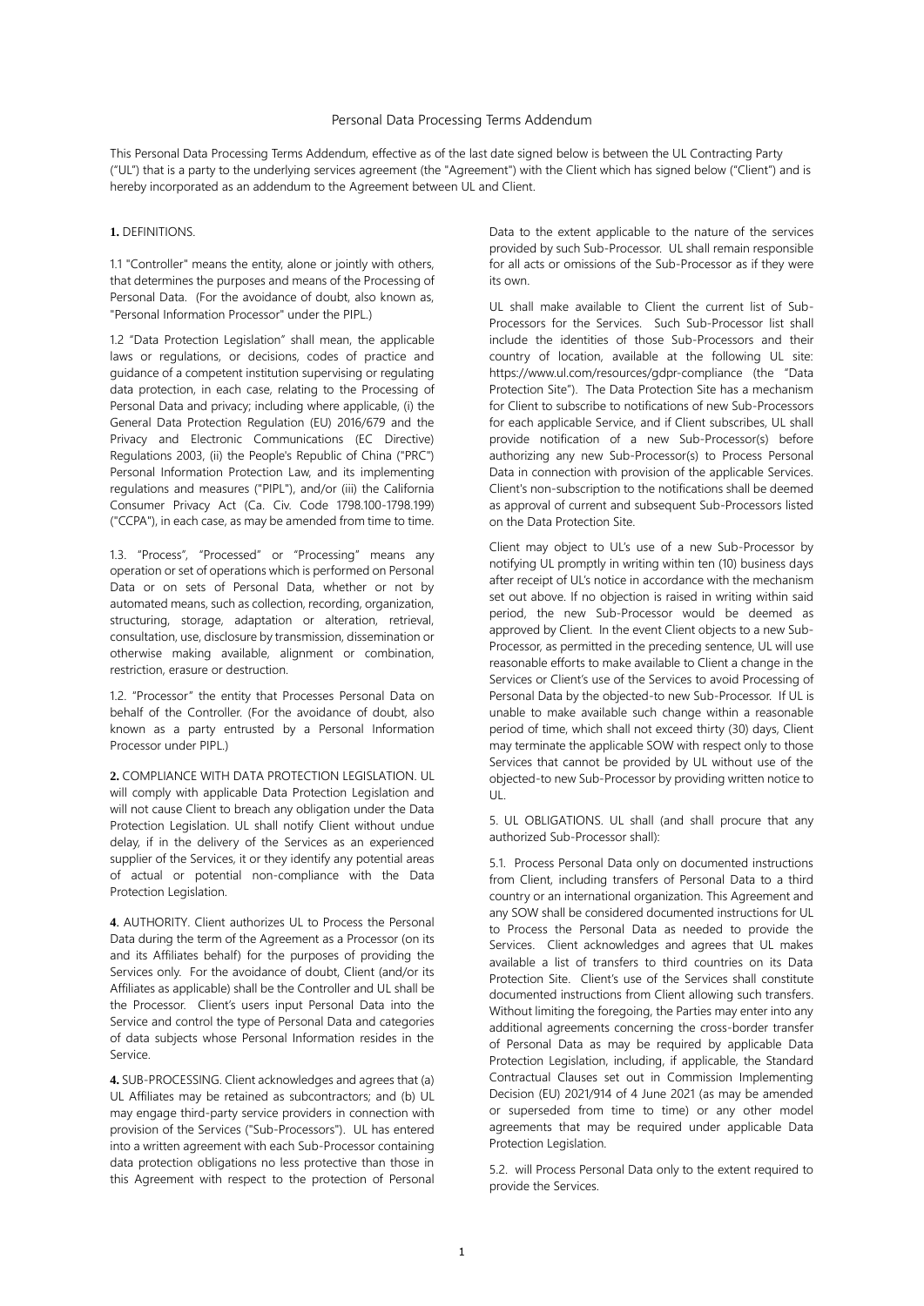## Personal Data Processing Terms Addendum

This Personal Data Processing Terms Addendum, effective as of the last date signed below is between the UL Contracting Party ("UL") that is a party to the underlying services agreement (the "Agreement") with the Client which has signed below ("Client") and is hereby incorporated as an addendum to the Agreement between UL and Client.

## **1.** DEFINITIONS.

1.1 "Controller" means the entity, alone or jointly with others, that determines the purposes and means of the Processing of Personal Data. (For the avoidance of doubt, also known as, "Personal Information Processor" under the PIPL.)

1.2 "Data Protection Legislation" shall mean, the applicable laws or regulations, or decisions, codes of practice and guidance of a competent institution supervising or regulating data protection, in each case, relating to the Processing of Personal Data and privacy; including where applicable, (i) the General Data Protection Regulation (EU) 2016/679 and the Privacy and Electronic Communications (EC Directive) Regulations 2003, (ii) the People's Republic of China ("PRC") Personal Information Protection Law, and its implementing regulations and measures ("PIPL"), and/or (iii) the California Consumer Privacy Act (Ca. Civ. Code 1798.100-1798.199) ("CCPA"), in each case, as may be amended from time to time.

1.3. "Process", "Processed" or "Processing" means any operation or set of operations which is performed on Personal Data or on sets of Personal Data, whether or not by automated means, such as collection, recording, organization, structuring, storage, adaptation or alteration, retrieval, consultation, use, disclosure by transmission, dissemination or otherwise making available, alignment or combination, restriction, erasure or destruction.

1.2. "Processor" the entity that Processes Personal Data on behalf of the Controller. (For the avoidance of doubt, also known as a party entrusted by a Personal Information Processor under PIPL.)

**2.** COMPLIANCE WITH DATA PROTECTION LEGISLATION. UL will comply with applicable Data Protection Legislation and will not cause Client to breach any obligation under the Data Protection Legislation. UL shall notify Client without undue delay, if in the delivery of the Services as an experienced supplier of the Services, it or they identify any potential areas of actual or potential non-compliance with the Data Protection Legislation.

**4**. AUTHORITY. Client authorizes UL to Process the Personal Data during the term of the Agreement as a Processor (on its and its Affiliates behalf) for the purposes of providing the Services only. For the avoidance of doubt, Client (and/or its Affiliates as applicable) shall be the Controller and UL shall be the Processor. Client's users input Personal Data into the Service and control the type of Personal Data and categories of data subjects whose Personal Information resides in the Service.

**4.** SUB-PROCESSING. Client acknowledges and agrees that (a) UL Affiliates may be retained as subcontractors; and (b) UL may engage third-party service providers in connection with provision of the Services ("Sub-Processors"). UL has entered into a written agreement with each Sub-Processor containing data protection obligations no less protective than those in this Agreement with respect to the protection of Personal

Data to the extent applicable to the nature of the services provided by such Sub-Processor. UL shall remain responsible for all acts or omissions of the Sub-Processor as if they were its own.

UL shall make available to Client the current list of Sub-Processors for the Services. Such Sub-Processor list shall include the identities of those Sub-Processors and their country of location, available at the following UL site: https://www.ul.com/resources/gdpr-compliance (the "Data Protection Site"). The Data Protection Site has a mechanism for Client to subscribe to notifications of new Sub-Processors for each applicable Service, and if Client subscribes, UL shall provide notification of a new Sub-Processor(s) before authorizing any new Sub-Processor(s) to Process Personal Data in connection with provision of the applicable Services. Client's non-subscription to the notifications shall be deemed as approval of current and subsequent Sub-Processors listed on the Data Protection Site.

Client may object to UL's use of a new Sub-Processor by notifying UL promptly in writing within ten (10) business days after receipt of UL's notice in accordance with the mechanism set out above. If no objection is raised in writing within said period, the new Sub-Processor would be deemed as approved by Client. In the event Client objects to a new Sub-Processor, as permitted in the preceding sentence, UL will use reasonable efforts to make available to Client a change in the Services or Client's use of the Services to avoid Processing of Personal Data by the objected-to new Sub-Processor. If UL is unable to make available such change within a reasonable period of time, which shall not exceed thirty (30) days, Client may terminate the applicable SOW with respect only to those Services that cannot be provided by UL without use of the objected-to new Sub-Processor by providing written notice to UL.

5. UL OBLIGATIONS. UL shall (and shall procure that any authorized Sub-Processor shall):

5.1. Process Personal Data only on documented instructions from Client, including transfers of Personal Data to a third country or an international organization. This Agreement and any SOW shall be considered documented instructions for UL to Process the Personal Data as needed to provide the Services. Client acknowledges and agrees that UL makes available a list of transfers to third countries on its Data Protection Site. Client's use of the Services shall constitute documented instructions from Client allowing such transfers. Without limiting the foregoing, the Parties may enter into any additional agreements concerning the cross-border transfer of Personal Data as may be required by applicable Data Protection Legislation, including, if applicable, the Standard Contractual Clauses set out in Commission Implementing Decision (EU) 2021/914 of 4 June 2021 (as may be amended or superseded from time to time) or any other model agreements that may be required under applicable Data Protection Legislation.

5.2. will Process Personal Data only to the extent required to provide the Services.